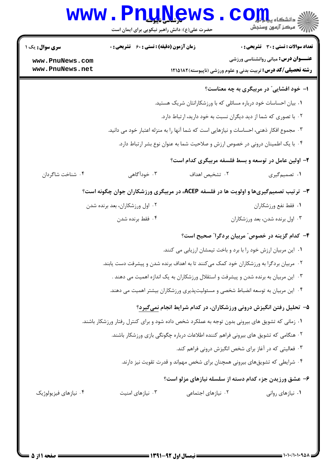| <b>سری سوال :</b> یک ۱ | <b>زمان آزمون (دقیقه) : تستی : 60 ٪ تشریحی : 0</b> |                                                                                                 | <b>تعداد سوالات : تستی : 30 ٪ تشریحی : 0</b> |
|------------------------|----------------------------------------------------|-------------------------------------------------------------------------------------------------|----------------------------------------------|
| www.PnuNews.com        |                                                    |                                                                                                 | <b>عنـــوان درس:</b> مبانی روانشناسی ورزشی   |
| www.PnuNews.net        |                                                    | <b>رشته تحصیلی/کد درس:</b> تربیت بدنی و علوم ورزشی (ناپیوسته)۱۸۲۵۱۸۲                            |                                              |
|                        |                                                    |                                                                                                 | ا- خود افشایی" در مربیگری به چه معناست؟      |
|                        |                                                    | ۰۱ بیان احساسات خود درباره مسائلی که با ورزشکارانتان شریک هستید.                                |                                              |
|                        |                                                    | ۰۲ با تصوری که شما از دید دیگران نسبت به خود دارید، ارتباط دارد.                                |                                              |
|                        |                                                    | ۰۳ مجموع افکار ذهنی، احساسات و نیازهایی است که شما آنها را به منزله اعتبار خود می دانید.        |                                              |
|                        |                                                    | ۰۴ با یک اطمینان درونی در خصوص ارزش و صلاحیت شما به عنوان نوع بشر ارتباط دارد.                  |                                              |
|                        |                                                    | ۲- اولین عامل در توسعه و بسط فلسفه مربیگری کدام است؟                                            |                                              |
| ۰۴ شناخت شاگردان       | ۰۳ خودآگاهی                                        | ٠٢ تشخيص اهداف                                                                                  | ۰۱ تصمیم گیری                                |
|                        |                                                    | <b>۳</b> - ترتیب تصمیمگیریها و اولویت ها در فلسفه ACEP، در مربیگری ورزشکاران جوان چگونه است؟    |                                              |
|                        | ۰۲ اول ورزشکاران، بعد برنده شدن                    |                                                                                                 | ٠١. فقط نفع ورزشكاران                        |
|                        | ۰۴ فقط برنده شدن                                   |                                                                                                 | ۰۳ اول برنده شدن، بعد ورزشکاران              |
|                        |                                                    | ۴– کدام گزینه در خصوص ؒ مربیان بردگرا ؒ صحیح است؟                                               |                                              |
|                        |                                                    | ٠١. اين مربيان ارزش خود را با برد و باخت تيمشان ارزيابي مي كنند.                                |                                              |
|                        |                                                    | ۲ . مربیان بردگرا به ورزشکاران خود کمک میکنند تا به اهداف برنده شدن و پیشرفت دست یابند.         |                                              |
|                        |                                                    | ۰۳ این مربیان به برنده شدن و پیشرفت و استقلال ورزشکاران به یک اندازه اهمیت می دهند .            |                                              |
|                        |                                                    | ۰۴ این مربیان به توسعه انضباط شخصی و مسئولیتپذیری ورزشکاران بیشتر اهمیت می دهند.                |                                              |
|                        |                                                    | ۵– تحلیل رفتن انگیزش درونی ورزشکاران، در کدام شرایط انجام نمیگیرد؟                              |                                              |
|                        |                                                    | ۰۱ زمانی که تشویق های بیرونی بدون توجه به عملکرد شخص داده شود و برای کنترل رفتار ورزشکار باشند. |                                              |
|                        |                                                    | ۰۲ هنگامی که تشویق های بیرونی فراهم کننده اطلاعات درباره چگونگی بازی ورزشکار باشند.             |                                              |
|                        |                                                    | ۰۳ فعالیتی که در آغاز برای شخص انگیزش درونی فراهم کند.                                          |                                              |
|                        |                                                    | ۰۴ شرایطی که تشویقهای بیرونی همچنان برای شخص مهم ند و قدرت تقویت نیز دارند.                     |                                              |
|                        |                                                    | ۶- عشق ورزیدن جزء کدام دسته از سلسله نیازهای مزلو است؟                                          |                                              |
| ۰۴ نیازهای فیزیولوژیک  | ۰۳ نیازهای امنیت                                   | ۰۲ نیازهای اجتماعی                                                                              | ۰۱ نیازهای روانی                             |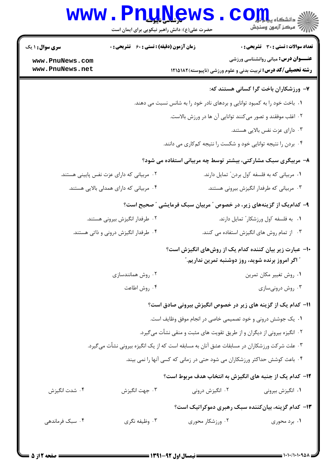|                                                                            | <b>www.Pnullews</b><br>حضرت علی(ع): دانش راهبر نیکویی برای ایمان است                        |                                                                            | ی<br>ڈاخ دانشکاہ پیام ہ <mark>ی</mark><br>أأأأآ مركز آزمون وسنجش                                                       |  |
|----------------------------------------------------------------------------|---------------------------------------------------------------------------------------------|----------------------------------------------------------------------------|------------------------------------------------------------------------------------------------------------------------|--|
| <b>سری سوال : ۱ یک</b>                                                     | <b>زمان آزمون (دقیقه) : تستی : 60 ٪ تشریحی : 0</b>                                          |                                                                            | <b>تعداد سوالات : تستی : 30 ٪ تشریحی : 0</b>                                                                           |  |
| www.PnuNews.com<br>www.PnuNews.net                                         |                                                                                             |                                                                            | <b>عنـــوان درس:</b> مبانی روانشناسی ورزشی<br><b>رشته تحصیلی/کد درس:</b> تربیت بدنی و علوم ورزشی (ناپیوسته)۱۸۲۵۱۸۲     |  |
|                                                                            |                                                                                             |                                                                            | ۷- ورزشکاران باخت گرا کسانی هستند که:                                                                                  |  |
| ۰۱ باخت خود را به کمبود توانایی و بردهای نادر خود را به شانس نسبت می دهند. |                                                                                             |                                                                            |                                                                                                                        |  |
| ۰۲ اغلب موفقند و تصور میکنند توانایی آن ها در ورزش بالاست.                 |                                                                                             |                                                                            |                                                                                                                        |  |
|                                                                            |                                                                                             |                                                                            | ۰۳ دارای عزت نفس بالایی هستند.                                                                                         |  |
|                                                                            |                                                                                             | ۰۴ بردن را نتیجه توانایی خود و شکست را نتیجه کمکاری می دانند.              |                                                                                                                        |  |
|                                                                            |                                                                                             |                                                                            | ۸- مربیگری سبک مشارکتی، بیشتر توسط چه مربیانی استفاده می شود؟                                                          |  |
|                                                                            | ۰۲ مربیانی که دارای عزت نفس پایینی هستند.                                                   |                                                                            | ۰۱ مربیانی که به فلسفه "اول بردن" تمایل دارند.                                                                         |  |
|                                                                            | ۰۴ مربیانی که دارای همدلی بالایی هستند.                                                     |                                                                            | ۰۳ مربیانی که طرفدار انگیزش بیرونی هستند.                                                                              |  |
|                                                                            |                                                                                             |                                                                            | ۹– کدام یک از گزینههای زیر، در خصوص " مربیان سبک فرمایشی " صحیح است؟                                                   |  |
|                                                                            | ۰۲ طرفدار انگیزش بیرونی هستند.                                                              |                                                                            | ۰۱ به فلسفه "اول ورزشکار" تمایل دارند.                                                                                 |  |
| ۰۴ طرفدار انگیزش درونی و ذاتی هستند.                                       |                                                                                             |                                                                            | ۰۳ از تمام روش های انگیزش استفاده می کنند.                                                                             |  |
|                                                                            |                                                                                             |                                                                            | ∙ا− عبارت زیر بیان کننده کدام یک از روشهای انگیزش است؟<br><sup>"</sup> اگر امروز برنده شوید، روز دوشنبه تمرین نداریم." |  |
|                                                                            | ۰۲ روش همانندسازی                                                                           |                                                                            | ٠١ روش تغيير مكان تمرين                                                                                                |  |
| ۰۴ روش اطاعت                                                               |                                                                                             |                                                                            | ۰۳ روش درونیسازی                                                                                                       |  |
|                                                                            |                                                                                             |                                                                            | 11- کدام یک از گزینه های زیر در خصوص انگیزش بیرونی صادق است؟                                                           |  |
|                                                                            | ٠١. يک جوشش دروني و خود تصميمي خاصي در انجام موفق وظايف است.                                |                                                                            |                                                                                                                        |  |
| ۰۲ انگیزه بیرونی از دیگران و از طریق تقویت های مثبت و منقی نشأت میگیرد.    |                                                                                             |                                                                            |                                                                                                                        |  |
|                                                                            | ۰۳ علت شرکت ورزشکاران در مسابقات عشق آنان به مسابقه است که از یک انگیزه بیرونی نشأت میگیرد. |                                                                            |                                                                                                                        |  |
|                                                                            |                                                                                             | ۰۴ باعث کوشش حداکثر ورزشکاران می شود حتی در زمانی که کسی آنها را نمی بیند. |                                                                                                                        |  |
|                                                                            |                                                                                             |                                                                            | ۱۲– کدام یک از جنبه های انگیزش به انتخاب هدف مربوط است؟                                                                |  |
| ۰۴ شدت انگیزش                                                              | ۰۳ جهت انگیزش                                                                               | ۲. انگیزش درونی                                                            | ۰۱ انگیزش بیرونی                                                                                                       |  |
|                                                                            |                                                                                             |                                                                            | <b>۱۳</b> - کدام گزینه، بیانکننده سبک رهبری دموکراتیک است؟                                                             |  |
| ۰۴ سبک فرماندهی                                                            | ۰۳ وظیفه نگری                                                                               | ۰۲ ورزشکار محوری                                                           | ۰۱ برد محوری                                                                                                           |  |
|                                                                            |                                                                                             |                                                                            |                                                                                                                        |  |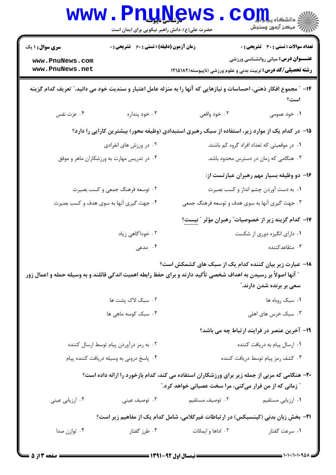|                                                                                                                                                          | <b>www.Pnuews</b><br>حضرت علی(ع): دانش راهبر نیکویی برای ایمان است                        |                                                                                                                  | ر آمرڪز آزمون وسنڊش                                                |  |  |
|----------------------------------------------------------------------------------------------------------------------------------------------------------|-------------------------------------------------------------------------------------------|------------------------------------------------------------------------------------------------------------------|--------------------------------------------------------------------|--|--|
| <b>سری سوال :</b> ۱ یک                                                                                                                                   | <b>زمان آزمون (دقیقه) : تستی : 60 ٪ تشریحی : 0</b>                                        |                                                                                                                  | <b>تعداد سوالات : تستی : 30 ٪ تشریحی : 0</b>                       |  |  |
| www.PnuNews.com<br>www.PnuNews.net                                                                                                                       |                                                                                           | <b>رشته تحصیلی/کد درس:</b> تربیت بدنی و علوم ورزشی (ناپیوسته)۱۸۲۵۱۸۲                                             | <b>عنـــوان درس:</b> مبانی روانشناسی ورزشی                         |  |  |
| ۱۴– ″ مجموع افکار ذهنی، احساسات و نیازهایی که آنها را به منزله عامل اعتبار و سندیت خود می دانید.″ تعریف کدام گزینه<br>است؟                               |                                                                                           |                                                                                                                  |                                                                    |  |  |
| ۰۴ عزت نفس                                                                                                                                               | ۰۳ خود پنداره                                                                             | ۰۲ خود واقعی                                                                                                     | ۰۱ خود عمومی                                                       |  |  |
|                                                                                                                                                          |                                                                                           | ۱۵– در کدام یک از موارد زیر، استفاده از سبک رهبری استبدادی (وظیفه محور) بیشترین کارایی را دارد؟                  |                                                                    |  |  |
|                                                                                                                                                          | ۰۲ در ورزش های انفرادی                                                                    |                                                                                                                  | ۰۱ در موقعیتی که تعداد افراد گروه کم باشند.                        |  |  |
| ۰۴ در تدریس مهارت به ورزشکاران ماهر و موفق                                                                                                               |                                                                                           |                                                                                                                  | ۰۳ هنگامی که زمان در دسترس محدود باشد.                             |  |  |
|                                                                                                                                                          |                                                                                           |                                                                                                                  | ۱۶– دو وظیفه بسیار مهم رهبران عبارتست از:                          |  |  |
|                                                                                                                                                          | ۰۲ توسعه فرهنگ جمعی و کسب بصیرت                                                           |                                                                                                                  | ۰۱ به دست آوردن چشم انداز و کسب بصیرت                              |  |  |
|                                                                                                                                                          | ۰۴ جهت گیری آنها به سوی هدف و کسب بصیرت                                                   | ۰۳ جهت گیری آنها به سوی هدف و توسعه فرهنگ جمعی                                                                   |                                                                    |  |  |
|                                                                                                                                                          |                                                                                           | ۱۷– کدام گزینه زیر از خصوصیات ؒ رهبران مؤثر ؒ نیست؟                                                              |                                                                    |  |  |
|                                                                                                                                                          | ۰۲ خودآگاهی زیاد                                                                          |                                                                                                                  | ۰۱ دارای انگیزه دوری از شکست                                       |  |  |
|                                                                                                                                                          | ۴. مدعی                                                                                   |                                                                                                                  | ۰۳ متقاعدکننده                                                     |  |  |
|                                                                                                                                                          |                                                                                           | ۱۸– عبارت زیر بیان کننده کدام یک از سبک های کشمکش است؟                                                           |                                                                    |  |  |
|                                                                                                                                                          |                                                                                           | " آنها اصولاً بر رسیدن به اهداف شخصی تأکید دارند و برای حفظ رابطه اهمیت اندکی قائلند و به وسیله حمله و اعمال زور | سعی بر برنده شدن دارند."                                           |  |  |
|                                                                                                                                                          | ۰۲ سبک لاک پشت ها                                                                         |                                                                                                                  | ٠١ سبک روباه ها                                                    |  |  |
|                                                                                                                                                          | ۰۴ سبک کوسه ماهی ها                                                                       | ۰۳ سبک خرس های اهلی                                                                                              |                                                                    |  |  |
|                                                                                                                                                          |                                                                                           |                                                                                                                  | <b>۱۹</b> - آخرین عنصر در فرایند ارتباط چه می باشد؟                |  |  |
|                                                                                                                                                          |                                                                                           |                                                                                                                  |                                                                    |  |  |
| ۰۲ به رمز درآوردن پیام توسط ارسال کننده<br>۰۴ پاسخ درونی به وسیله دریافت کننده پیام                                                                      |                                                                                           |                                                                                                                  | ٠١ ارسال پيام به دريافت كننده<br>۰۳ کشف رمز پیام توسط دریافت کننده |  |  |
|                                                                                                                                                          |                                                                                           |                                                                                                                  |                                                                    |  |  |
| ۲۰- هنگامی که مربی از جمله زیر برای ورزشکاران استفاده می کند، کدام بازخورد را ارائه داده است؟<br>" زمانی که از من فرار میکنی، مرا سخت عصبانی خواهد کرد." |                                                                                           |                                                                                                                  |                                                                    |  |  |
| ۰۴ ارزیابی عینی                                                                                                                                          | ۰۳ توصيف عيني                                                                             | ٢. توصيف مستقيم                                                                                                  | ٠١ ارزيابي مستقيم                                                  |  |  |
|                                                                                                                                                          | <b>۲۱</b> - بخش زبان بدنی (کینسیکس) در ارتباطات غیرکلامی، شامل کدام یک از مفاهیم زیر است؟ |                                                                                                                  |                                                                    |  |  |
| ۰۴ توازن صدا                                                                                                                                             | ۰۳ طرز گفتار                                                                              | ۰۲ اداها و ایمائات                                                                                               | ۰۱ سرعت گفتار                                                      |  |  |
|                                                                                                                                                          |                                                                                           | $=$ (Was avere in Fig. ) $=$                                                                                     | $= 1.1.11.1.9AA =$                                                 |  |  |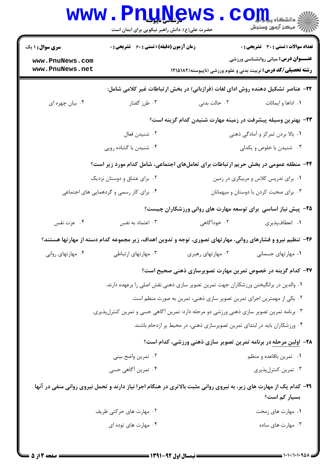| W W W                                                                                       | كرشاسي فاييوسته<br>حضرت علی(ع): دانش راهبر نیکویی برای ایمان است |                                                                                                                    | د دانشکاه پ <b>یا ب<sup>ا</sup> تو</b><br>أآآه مرکز آزمون وسنجش                                                                                                    |  |  |
|---------------------------------------------------------------------------------------------|------------------------------------------------------------------|--------------------------------------------------------------------------------------------------------------------|--------------------------------------------------------------------------------------------------------------------------------------------------------------------|--|--|
| <b>سری سوال : ۱ یک</b><br>www.PnuNews.com<br>www.PnuNews.net                                | <b>زمان آزمون (دقیقه) : تستی : 60 ٪ تشریحی : 0</b>               |                                                                                                                    | <b>تعداد سوالات : تستی : 30 ٪ تشریحی : 0</b><br><b>عنـــوان درس:</b> مبانی روانشناسی ورزشی<br><b>رشته تحصیلی/کد درس:</b> تربیت بدنی و علوم ورزشی (ناپیوسته)۱۸۲۵۱۸۲ |  |  |
|                                                                                             |                                                                  | ۲۲– عناصر تشکیل دهنده روش ادای لغات (فرازبانی) در بخش ارتباطات غیر کلامی شامل:                                     |                                                                                                                                                                    |  |  |
| ۰۴ بیان چهره ای                                                                             | ۰۳ طرز گفتار                                                     | ۰۲ حالت بدنی                                                                                                       | ۰۱ اداها و ایمائات                                                                                                                                                 |  |  |
|                                                                                             |                                                                  | ۲۳– بهترین وسیله پیشرفت در زمینه مهارت شنیدن کدام گزینه است؟                                                       |                                                                                                                                                                    |  |  |
|                                                                                             | ۰۲ شنیدن فعال                                                    |                                                                                                                    | ۰۱ بالا بردن تمرکز و آمادگی ذهنی                                                                                                                                   |  |  |
|                                                                                             | ۰۴ شنیدن با گشاده رویی                                           |                                                                                                                    | ۰۳ شنیدن با خلوص و یکدلی                                                                                                                                           |  |  |
| <b>۲۴</b> - منطقه عمومی در بخش حریم ارتباطات برای تعاملهای اجتماعی، شامل کدام مورد زیر است؟ |                                                                  |                                                                                                                    |                                                                                                                                                                    |  |  |
| ۰۲ برای عشاق و دوستان نزدیک                                                                 |                                                                  |                                                                                                                    | ۰۱ برای تدریس کلاس و مربیگری در زمین                                                                                                                               |  |  |
|                                                                                             | ۰۴ برای کار رسمی و گردهمایی های اجتماعی                          |                                                                                                                    | ۰۳ برای صحبت کردن با دوستان و میهمانان                                                                                                                             |  |  |
|                                                                                             |                                                                  | ۲۵- پیش نیاز اساسی برای توسعه مهارت های روانی ورزشکاران چیست؟                                                      |                                                                                                                                                                    |  |  |
| ۰۴ عزت نفس                                                                                  | ۰۳ اعتماد به نفس                                                 | ۰۲ خودآگاهی                                                                                                        | ۰۱ انعطافپذیری                                                                                                                                                     |  |  |
|                                                                                             |                                                                  | ۲۶- تنظیم نیرو و فشارهای روانی، مهارتهای تصوری، توجه و تدوین اهداف، زیر مجموعه کدام دسته از مهارتها هستند؟         |                                                                                                                                                                    |  |  |
| ۰۴ مهارتهای روانی                                                                           | ۰۳ مهارتهای ارتباطی                                              | ۰۲ مهارتهای رهبری                                                                                                  | ٠١ مهارتهاى جسمانى                                                                                                                                                 |  |  |
|                                                                                             |                                                                  | ۲۷– کدام گزینه در خصوص تمرین مهارت تصویرسازی ذهنی صحیح است؟                                                        |                                                                                                                                                                    |  |  |
|                                                                                             |                                                                  | ۰۱ والدین در برانگیختن ورزشکاران جهت تمرین تصویر سازی ذهنی نقش اصلی را برعهده دارند.                               |                                                                                                                                                                    |  |  |
|                                                                                             |                                                                  | ۰۲ یکی از مهمترین اجرای تمرین تصویر سازی ذهنی، تمرین به صورت منظم است.                                             |                                                                                                                                                                    |  |  |
|                                                                                             |                                                                  | ۰۳ برنامه تمرین تصویر سازی ذهنی ورزشی دو مرحله دارد: تمرین آگاهی حسی و تمرین کنترلپذیری.                           |                                                                                                                                                                    |  |  |
|                                                                                             |                                                                  | ۰۴ ورزشکاران باید در ابتدای تمرین تصویرسازی ذهنی، در محیط پر ازدحام باشند.                                         |                                                                                                                                                                    |  |  |
|                                                                                             |                                                                  | ۲۸- اولین مرحله در برنامه تمرین تصویر سازی ذهنی ورزشی، کدام است؟                                                   |                                                                                                                                                                    |  |  |
|                                                                                             | ۰۲ تمرین واضح بینی                                               |                                                                                                                    | ۰۱ تمرين باقاعده و منظم                                                                                                                                            |  |  |
|                                                                                             | ۰۴ تمرین آگاهی حسی                                               |                                                                                                                    | ۰۳ تمرين كنترلپذيري                                                                                                                                                |  |  |
|                                                                                             |                                                                  | ۲۹- کدام یک از مهارت های زیر، به نیروی روانی مثبت بالاتری در هنگام اجرا نیاز دارند و تحمل نیروی روانی منفی در آنها | بسیار کم است؟                                                                                                                                                      |  |  |
|                                                                                             | ۰۲ مهارت های حرکتی ظریف                                          |                                                                                                                    | ۰۱ مهارت های زمخت                                                                                                                                                  |  |  |
|                                                                                             | ۰۴ مهارت های توده ای                                             |                                                                                                                    | ۰۳ مهارت های ساده                                                                                                                                                  |  |  |
|                                                                                             |                                                                  |                                                                                                                    |                                                                                                                                                                    |  |  |

. <u>. .</u> RT

51

 $\overline{\phantom{a}}$ 

 $-0.001$